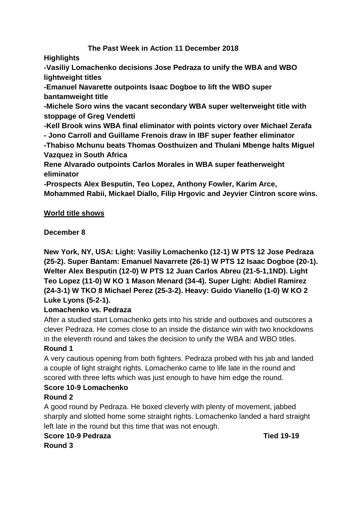### **The Past Week in Action 11 December 2018**

**Highlights**

**-Vasiliy Lomachenko decisions Jose Pedraza to unify the WBA and WBO lightweight titles** 

**-Emanuel Navarette outpoints Isaac Dogboe to lift the WBO super bantamweight title**

**-Michele Soro wins the vacant secondary WBA super welterweight title with stoppage of Greg Vendetti**

**-Kell Brook wins WBA final eliminator with points victory over Michael Zerafa - Jono Carroll and Guillame Frenois draw in IBF super feather eliminator**

**-Thabiso Mchunu beats Thomas Oosthuizen and Thulani Mbenge halts Miguel Vazquez in South Africa**

**Rene Alvarado outpoints Carlos Morales in WBA super featherweight eliminator**

**-Prospects Alex Besputin, Teo Lopez, Anthony Fowler, Karim Arce,** 

**Mohammed Rabii, Mickael Diallo, Filip Hrgovic and Jeyvier Cintron score wins.**

### **World title shows**

# **December 8**

**New York, NY, USA: Light: Vasiliy Lomachenko (12-1) W PTS 12 Jose Pedraza (25-2). Super Bantam: Emanuel Navarrete (26-1) W PTS 12 Isaac Dogboe (20-1). Welter Alex Besputin (12-0) W PTS 12 Juan Carlos Abreu (21-5-1,1ND). Light Teo Lopez (11-0) W KO 1 Mason Menard (34-4). Super Light: Abdiel Ramirez (24-3-1) W TKO 8 Michael Perez (25-3-2). Heavy: Guido Vianello (1-0) W KO 2 Luke Lyons (5-2-1).**

### **Lomachenko vs. Pedraza**

After a studied start Lomachenko gets into his stride and outboxes and outscores a clever Pedraza. He comes close to an inside the distance win with two knockdowns in the eleventh round and takes the decision to unify the WBA and WBO titles.

### **Round 1**

A very cautious opening from both fighters. Pedraza probed with his jab and landed a couple of light straight rights. Lomachenko came to life late in the round and scored with three lefts which was just enough to have him edge the round.

### **Score 10-9 Lomachenko**

### **Round 2**

A good round by Pedraza. He boxed cleverly with plenty of movement, jabbed sharply and slotted home some straight rights. Lomachenko landed a hard straight left late in the round but this time that was not enough.

### **Score 10-9 Pedraza Tied 19-19**

**Round 3**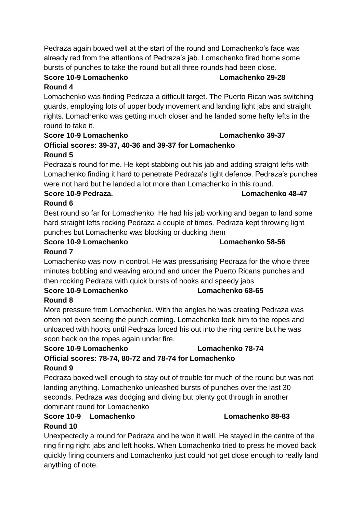Pedraza again boxed well at the start of the round and Lomachenko's face was already red from the attentions of Pedraza's jab. Lomachenko fired home some bursts of punches to take the round but all three rounds had been close.

# **Round 4**

Lomachenko was finding Pedraza a difficult target. The Puerto Rican was switching guards, employing lots of upper body movement and landing light jabs and straight rights. Lomachenko was getting much closer and he landed some hefty lefts in the round to take it.

#### **Score 10-9 Lomachenko Lomachenko 39-37 Official scores: 39-37, 40-36 and 39-37 for Lomachenko Round 5**

Pedraza's round for me. He kept stabbing out his jab and adding straight lefts with Lomachenko finding it hard to penetrate Pedraza's tight defence. Pedraza's punches were not hard but he landed a lot more than Lomachenko in this round.

### **Score 10-9 Pedraza. Lomachenko 48-47**

**Round 6**

Best round so far for Lomachenko. He had his jab working and began to land some hard straight lefts rocking Pedraza a couple of times. Pedraza kept throwing light punches but Lomachenko was blocking or ducking them

# **Score 10-9 Lomachenko Lomachenko 58-56**

# **Round 7**

Lomachenko was now in control. He was pressurising Pedraza for the whole three minutes bobbing and weaving around and under the Puerto Ricans punches and then rocking Pedraza with quick bursts of hooks and speedy jabs

#### **Score 10-9 Lomachenko Lomachenko 68-65 Round 8**

More pressure from Lomachenko. With the angles he was creating Pedraza was often not even seeing the punch coming. Lomachenko took him to the ropes and unloaded with hooks until Pedraza forced his out into the ring centre but he was soon back on the ropes again under fire.

# **Score 10-9 Lomachenko Lomachenko 78-74 Official scores: 78-74, 80-72 and 78-74 for Lomachenko**

### **Round 9**

Pedraza boxed well enough to stay out of trouble for much of the round but was not landing anything. Lomachenko unleashed bursts of punches over the last 30 seconds. Pedraza was dodging and diving but plenty got through in another dominant round for Lomachenko

# **Score 10-9 Lomachenko Lomachenko 88-83**

# **Round 10**

Unexpectedly a round for Pedraza and he won it well. He stayed in the centre of the ring firing right jabs and left hooks. When Lomachenko tried to press he moved back quickly firing counters and Lomachenko just could not get close enough to really land anything of note.

**Score 10-9 Lomachenko Lomachenko 29-28**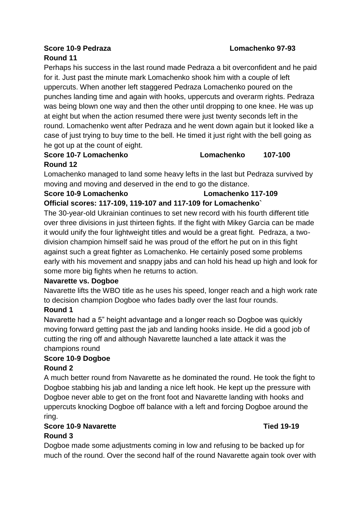# **Score 10-9 Pedraza Lomachenko 97-93**

# **Round 11**

Perhaps his success in the last round made Pedraza a bit overconfident and he paid for it. Just past the minute mark Lomachenko shook him with a couple of left uppercuts. When another left staggered Pedraza Lomachenko poured on the punches landing time and again with hooks, uppercuts and overarm rights. Pedraza was being blown one way and then the other until dropping to one knee. He was up at eight but when the action resumed there were just twenty seconds left in the round. Lomachenko went after Pedraza and he went down again but it looked like a case of just trying to buy time to the bell. He timed it just right with the bell going as he got up at the count of eight.

**Score 10-7 Lomachenko Lomachenko 107-100**

# **Round 12**

Lomachenko managed to land some heavy lefts in the last but Pedraza survived by moving and moving and deserved in the end to go the distance.

#### **Score 10-9 Lomachenko Lomachenko 117-109**

**Official scores: 117-109, 119-107 and 117-109 for Lomachenko`** The 30-year-old Ukrainian continues to set new record with his fourth different title over three divisions in just thirteen fights. If the fight with Mikey Garcia can be made it would unify the four lightweight titles and would be a great fight. Pedraza, a twodivision champion himself said he was proud of the effort he put on in this fight against such a great fighter as Lomachenko. He certainly posed some problems early with his movement and snappy jabs and can hold his head up high and look for some more big fights when he returns to action.

### **Navarette vs. Dogboe**

Navarette lifts the WBO title as he uses his speed, longer reach and a high work rate to decision champion Dogboe who fades badly over the last four rounds.

### **Round 1**

Navarette had a 5" height advantage and a longer reach so Dogboe was quickly moving forward getting past the jab and landing hooks inside. He did a good job of cutting the ring off and although Navarette launched a late attack it was the champions round

# **Score 10-9 Dogboe**

### **Round 2**

A much better round from Navarette as he dominated the round. He took the fight to Dogboe stabbing his jab and landing a nice left hook. He kept up the pressure with Dogboe never able to get on the front foot and Navarette landing with hooks and uppercuts knocking Dogboe off balance with a left and forcing Dogboe around the ring.

# **Score 10-9 Navarette Tied 19-19**

# **Round 3**

Dogboe made some adjustments coming in low and refusing to be backed up for much of the round. Over the second half of the round Navarette again took over with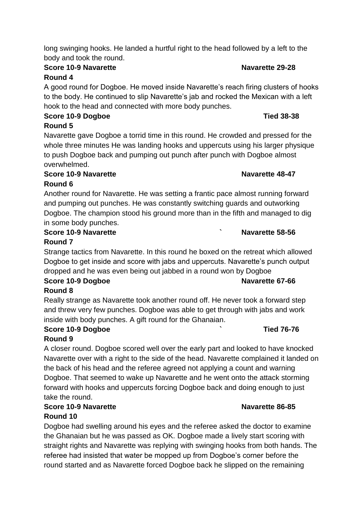long swinging hooks. He landed a hurtful right to the head followed by a left to the body and took the round.

# **Score 10-9 Navarette Navarette 29-28**

# **Round 4**

A good round for Dogboe. He moved inside Navarette's reach firing clusters of hooks to the body. He continued to slip Navarette's jab and rocked the Mexican with a left hook to the head and connected with more body punches.

# **Score 10-9 Dogboe Tied 38-38 Round 5**

Navarette gave Dogboe a torrid time in this round. He crowded and pressed for the whole three minutes He was landing hooks and uppercuts using his larger physique to push Dogboe back and pumping out punch after punch with Dogboe almost overwhelmed.

# **Score 10-9 Navarette Navarette Navarette** 48-47

# **Round 6**

Another round for Navarette. He was setting a frantic pace almost running forward and pumping out punches. He was constantly switching guards and outworking Dogboe. The champion stood his ground more than in the fifth and managed to dig in some body punches.

# **Score 10-9 Navarette ` Navarette 58-56**

# **Round 7**

Strange tactics from Navarette. In this round he boxed on the retreat which allowed Dogboe to get inside and score with jabs and uppercuts. Navarette's punch output dropped and he was even being out jabbed in a round won by Dogboe

# **Score 10-9 Dogboe Navarette 67-66**

**Round 8**

Really strange as Navarette took another round off. He never took a forward step and threw very few punches. Dogboe was able to get through with jabs and work inside with body punches. A gift round for the Ghanaian.

# **Score 10-9 Dogboe ` Tied 76-76**

### **Round 9**

A closer round. Dogboe scored well over the early part and looked to have knocked Navarette over with a right to the side of the head. Navarette complained it landed on the back of his head and the referee agreed not applying a count and warning Dogboe. That seemed to wake up Navarette and he went onto the attack storming forward with hooks and uppercuts forcing Dogboe back and doing enough to just take the round.

# **Score 10-9 Navarette Navarette 86-85**

# **Round 10**

Dogboe had swelling around his eyes and the referee asked the doctor to examine the Ghanaian but he was passed as OK. Dogboe made a lively start scoring with straight rights and Navarette was replying with swinging hooks from both hands. The referee had insisted that water be mopped up from Dogboe's corner before the round started and as Navarette forced Dogboe back he slipped on the remaining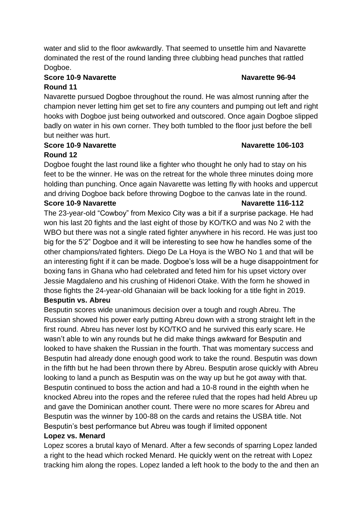water and slid to the floor awkwardly. That seemed to unsettle him and Navarette dominated the rest of the round landing three clubbing head punches that rattled Dogboe.

### **Score 10-9 Navarette Navarette 96-94 Round 11**

Navarette pursued Dogboe throughout the round. He was almost running after the champion never letting him get set to fire any counters and pumping out left and right hooks with Dogboe just being outworked and outscored. Once again Dogboe slipped badly on water in his own corner. They both tumbled to the floor just before the bell but neither was hurt.

#### **Score 10-9 Navarette Navarette 106-103 Round 12**

Dogboe fought the last round like a fighter who thought he only had to stay on his feet to be the winner. He was on the retreat for the whole three minutes doing more holding than punching. Once again Navarette was letting fly with hooks and uppercut and driving Dogboe back before throwing Dogboe to the canvas late in the round.

#### **Score 10-9 Navarette Navarette 116-112**

The 23-year-old "Cowboy" from Mexico City was a bit if a surprise package. He had won his last 20 fights and the last eight of those by KO/TKO and was No 2 with the WBO but there was not a single rated fighter anywhere in his record. He was just too big for the 5'2" Dogboe and it will be interesting to see how he handles some of the other champions/rated fighters. Diego De La Hoya is the WBO No 1 and that will be an interesting fight if it can be made. Dogboe's loss will be a huge disappointment for boxing fans in Ghana who had celebrated and feted him for his upset victory over Jessie Magdaleno and his crushing of Hidenori Otake. With the form he showed in those fights the 24-year-old Ghanaian will be back looking for a title fight in 2019. **Besputin vs. Abreu**

Besputin scores wide unanimous decision over a tough and rough Abreu. The Russian showed his power early putting Abreu down with a strong straight left in the first round. Abreu has never lost by KO/TKO and he survived this early scare. He wasn't able to win any rounds but he did make things awkward for Besputin and looked to have shaken the Russian in the fourth. That was momentary success and Besputin had already done enough good work to take the round. Besputin was down in the fifth but he had been thrown there by Abreu. Besputin arose quickly with Abreu looking to land a punch as Besputin was on the way up but he got away with that. Besputin continued to boss the action and had a 10-8 round in the eighth when he knocked Abreu into the ropes and the referee ruled that the ropes had held Abreu up and gave the Dominican another count. There were no more scares for Abreu and Besputin was the winner by 100-88 on the cards and retains the USBA title. Not Besputin's best performance but Abreu was tough if limited opponent

#### **Lopez vs. Menard**

Lopez scores a brutal kayo of Menard. After a few seconds of sparring Lopez landed a right to the head which rocked Menard. He quickly went on the retreat with Lopez tracking him along the ropes. Lopez landed a left hook to the body to the and then an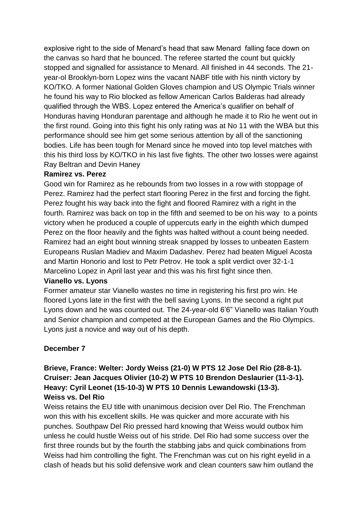explosive right to the side of Menard's head that saw Menard falling face down on the canvas so hard that he bounced. The referee started the count but quickly stopped and signalled for assistance to Menard. All finished in 44 seconds. The 21 year-ol Brooklyn-born Lopez wins the vacant NABF title with his ninth victory by KO/TKO. A former National Golden Gloves champion and US Olympic Trials winner he found his way to Rio blocked as fellow American Carlos Balderas had already qualified through the WBS. Lopez entered the America's qualifier on behalf of Honduras having Honduran parentage and although he made it to Rio he went out in the first round. Going into this fight his only rating was at No 11 with the WBA but this performance should see him get some serious attention by all of the sanctioning bodies. Life has been tough for Menard since he moved into top level matches with this his third loss by KO/TKO in his last five fights. The other two losses were against Ray Beltran and Devin Haney

#### **Ramirez vs. Perez**

Good win for Ramirez as he rebounds from two losses in a row with stoppage of Perez. Ramirez had the perfect start flooring Perez in the first and forcing the fight. Perez fought his way back into the fight and floored Ramirez with a right in the fourth. Ramirez was back on top in the fifth and seemed to be on his way to a points victory when he produced a couple of uppercuts early in the eighth which dumped Perez on the floor heavily and the fights was halted without a count being needed. Ramirez had an eight bout winning streak snapped by losses to unbeaten Eastern Europeans Ruslan Madiev and Maxim Dadashev. Perez had beaten Miguel Acosta and Martin Honorio and lost to Petr Petrov. He took a split verdict over 32-1-1 Marcelino Lopez in April last year and this was his first fight since then.

#### **Vianello vs. Lyons**

Former amateur star Vianello wastes no time in registering his first pro win. He floored Lyons late in the first with the bell saving Lyons. In the second a right put Lyons down and he was counted out. The 24-year-old 6'6" Vianello was Italian Youth and Senior champion and competed at the European Games and the Rio Olympics. Lyons just a novice and way out of his depth.

#### **December 7**

#### **Brieve, France: Welter: Jordy Weiss (21-0) W PTS 12 Jose Del Rio (28-8-1). Cruiser: Jean Jacques Olivier (10-2) W PTS 10 Brendon Deslaurier (11-3-1). Heavy: Cyril Leonet (15-10-3) W PTS 10 Dennis Lewandowski (13-3). Weiss vs. Del Rio**

Weiss retains the EU title with unanimous decision over Del Rio. The Frenchman won this with his excellent skills. He was quicker and more accurate with his punches. Southpaw Del Rio pressed hard knowing that Weiss would outbox him unless he could hustle Weiss out of his stride. Del Rio had some success over the first three rounds but by the fourth the stabbing jabs and quick combinations from Weiss had him controlling the fight. The Frenchman was cut on his right eyelid in a clash of heads but his solid defensive work and clean counters saw him outland the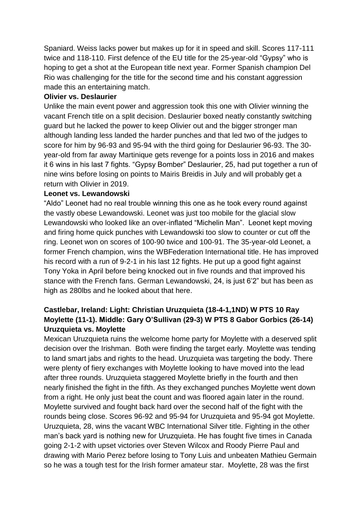Spaniard. Weiss lacks power but makes up for it in speed and skill. Scores 117-111 twice and 118-110. First defence of the EU title for the 25-year-old "Gypsy" who is hoping to get a shot at the European title next year. Former Spanish champion Del Rio was challenging for the title for the second time and his constant aggression made this an entertaining match.

#### **Olivier vs. Deslaurier**

Unlike the main event power and aggression took this one with Olivier winning the vacant French title on a split decision. Deslaurier boxed neatly constantly switching guard but he lacked the power to keep Olivier out and the bigger stronger man although landing less landed the harder punches and that led two of the judges to score for him by 96-93 and 95-94 with the third going for Deslaurier 96-93. The 30 year-old from far away Martinique gets revenge for a points loss in 2016 and makes it 6 wins in his last 7 fights. "Gypsy Bomber" Deslaurier, 25, had put together a run of nine wins before losing on points to Mairis Breidis in July and will probably get a return with Olivier in 2019.

#### **Leonet vs. Lewandowski**

"Aldo" Leonet had no real trouble winning this one as he took every round against the vastly obese Lewandowski. Leonet was just too mobile for the glacial slow Lewandowski who looked like an over-inflated "Michelin Man". Leonet kept moving and firing home quick punches with Lewandowski too slow to counter or cut off the ring. Leonet won on scores of 100-90 twice and 100-91. The 35-year-old Leonet, a former French champion, wins the WBFederation International title. He has improved his record with a run of 9-2-1 in his last 12 fights. He put up a good fight against Tony Yoka in April before being knocked out in five rounds and that improved his stance with the French fans. German Lewandowski, 24, is just 6'2" but has been as high as 280lbs and he looked about that here.

### **Castlebar, Ireland: Light: Christian Uruzquieta (18-4-1,1ND) W PTS 10 Ray Moylette (11-1). Middle: Gary O'Sullivan (29-3) W PTS 8 Gabor Gorbics (26-14) Uruzquieta vs. Moylette**

Mexican Uruzquieta ruins the welcome home party for Moylette with a deserved split decision over the Irishman. Both were finding the target early. Moylette was tending to land smart jabs and rights to the head. Uruzquieta was targeting the body. There were plenty of fiery exchanges with Moylette looking to have moved into the lead after three rounds. Uruzquieta staggered Moylette briefly in the fourth and then nearly finished the fight in the fifth. As they exchanged punches Moylette went down from a right. He only just beat the count and was floored again later in the round. Moylette survived and fought back hard over the second half of the fight with the rounds being close. Scores 96-92 and 95-94 for Uruzquieta and 95-94 got Moylette. Uruzquieta, 28, wins the vacant WBC International Silver title. Fighting in the other man's back yard is nothing new for Uruzquieta. He has fought five times in Canada going 2-1-2 with upset victories over Steven Wilcox and Roody Pierre Paul and drawing with Mario Perez before losing to Tony Luis and unbeaten Mathieu Germain so he was a tough test for the Irish former amateur star. Moylette, 28 was the first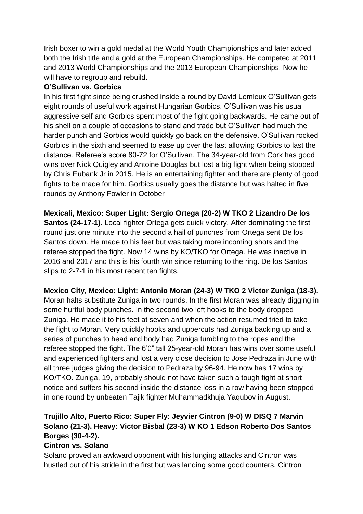Irish boxer to win a gold medal at the World Youth Championships and later added both the Irish title and a gold at the European Championships. He competed at 2011 and 2013 World Championships and the 2013 European Championships. Now he will have to regroup and rebuild.

#### **O'Sullivan vs. Gorbics**

In his first fight since being crushed inside a round by David Lemieux O'Sullivan gets eight rounds of useful work against Hungarian Gorbics. O'Sullivan was his usual aggressive self and Gorbics spent most of the fight going backwards. He came out of his shell on a couple of occasions to stand and trade but O'Sullivan had much the harder punch and Gorbics would quickly go back on the defensive. O'Sullivan rocked Gorbics in the sixth and seemed to ease up over the last allowing Gorbics to last the distance. Referee's score 80-72 for O'Sullivan. The 34-year-old from Cork has good wins over Nick Quigley and Antoine Douglas but lost a big fight when being stopped by Chris Eubank Jr in 2015. He is an entertaining fighter and there are plenty of good fights to be made for him. Gorbics usually goes the distance but was halted in five rounds by Anthony Fowler in October

**Mexicali, Mexico: Super Light: Sergio Ortega (20-2) W TKO 2 Lizandro De los Santos (24-17-1).** Local fighter Ortega gets quick victory. After dominating the first round just one minute into the second a hail of punches from Ortega sent De los Santos down. He made to his feet but was taking more incoming shots and the referee stopped the fight. Now 14 wins by KO/TKO for Ortega. He was inactive in 2016 and 2017 and this is his fourth win since returning to the ring. De los Santos slips to 2-7-1 in his most recent ten fights.

#### **Mexico City, Mexico: Light: Antonio Moran (24-3) W TKO 2 Victor Zuniga (18-3).**

Moran halts substitute Zuniga in two rounds. In the first Moran was already digging in some hurtful body punches. In the second two left hooks to the body dropped Zuniga. He made it to his feet at seven and when the action resumed tried to take the fight to Moran. Very quickly hooks and uppercuts had Zuniga backing up and a series of punches to head and body had Zuniga tumbling to the ropes and the referee stopped the fight. The 6'0" tall 25-year-old Moran has wins over some useful and experienced fighters and lost a very close decision to Jose Pedraza in June with all three judges giving the decision to Pedraza by 96-94. He now has 17 wins by KO/TKO. Zuniga, 19, probably should not have taken such a tough fight at short notice and suffers his second inside the distance loss in a row having been stopped in one round by unbeaten Tajik fighter Muhammadkhuja Yaqubov in August.

### **Trujillo Alto, Puerto Rico: Super Fly: Jeyvier Cintron (9-0) W DISQ 7 Marvin Solano (21-3). Heavy: Victor Bisbal (23-3) W KO 1 Edson Roberto Dos Santos Borges (30-4-2).**

#### **Cintron vs. Solano**

Solano proved an awkward opponent with his lunging attacks and Cintron was hustled out of his stride in the first but was landing some good counters. Cintron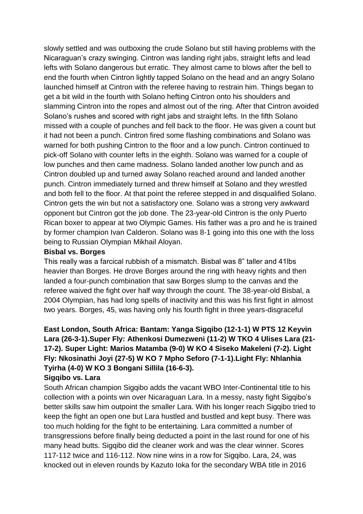slowly settled and was outboxing the crude Solano but still having problems with the Nicaraguan's crazy swinging. Cintron was landing right jabs, straight lefts and lead lefts with Solano dangerous but erratic. They almost came to blows after the bell to end the fourth when Cintron lightly tapped Solano on the head and an angry Solano launched himself at Cintron with the referee having to restrain him. Things began to get a bit wild in the fourth with Solano hefting Cintron onto his shoulders and slamming Cintron into the ropes and almost out of the ring. After that Cintron avoided Solano's rushes and scored with right jabs and straight lefts. In the fifth Solano missed with a couple of punches and fell back to the floor. He was given a count but it had not been a punch. Cintron fired some flashing combinations and Solano was warned for both pushing Cintron to the floor and a low punch. Cintron continued to pick-off Solano with counter lefts in the eighth. Solano was warned for a couple of low punches and then came madness. Solano landed another low punch and as Cintron doubled up and turned away Solano reached around and landed another punch. Cintron immediately turned and threw himself at Solano and they wrestled and both fell to the floor. At that point the referee stepped in and disqualified Solano. Cintron gets the win but not a satisfactory one. Solano was a strong very awkward opponent but Cintron got the job done. The 23-year-old Cintron is the only Puerto Rican boxer to appear at two Olympic Games. His father was a pro and he is trained by former champion Ivan Calderon. Solano was 8-1 going into this one with the loss being to Russian Olympian Mikhail Aloyan.

#### **Bisbal vs. Borges**

This really was a farcical rubbish of a mismatch. Bisbal was 8" taller and 41lbs heavier than Borges. He drove Borges around the ring with heavy rights and then landed a four-punch combination that saw Borges slump to the canvas and the referee waived the fight over half way through the count. The 38-year-old Bisbal, a 2004 Olympian, has had long spells of inactivity and this was his first fight in almost two years. Borges, 45, was having only his fourth fight in three years-disgraceful

# **East London, South Africa: Bantam: Yanga Sigqibo (12-1-1) W PTS 12 Keyvin Lara (26-3-1).Super Fly: Athenkosi Dumezweni (11-2) W TKO 4 Ulises Lara (21- 17-2). Super Light: Marios Matamba (9-0) W KO 4 Siseko Makeleni (7-2). Light Fly: Nkosinathi Joyi (27-5) W KO 7 Mpho Seforo (7-1-1).Light Fly: Nhlanhia Tyirha (4-0) W KO 3 Bongani Sillila (16-6-3).**

#### **Sigqibo vs. Lara**

South African champion Sigqibo adds the vacant WBO Inter-Continental title to his collection with a points win over Nicaraguan Lara. In a messy, nasty fight Sigqibo's better skills saw him outpoint the smaller Lara. With his longer reach Sigqibo tried to keep the fight an open one but Lara hustled and bustled and kept busy. There was too much holding for the fight to be entertaining. Lara committed a number of transgressions before finally being deducted a point in the last round for one of his many head butts. Sigqibo did the cleaner work and was the clear winner. Scores 117-112 twice and 116-112. Now nine wins in a row for Sigqibo. Lara, 24, was knocked out in eleven rounds by Kazuto Ioka for the secondary WBA title in 2016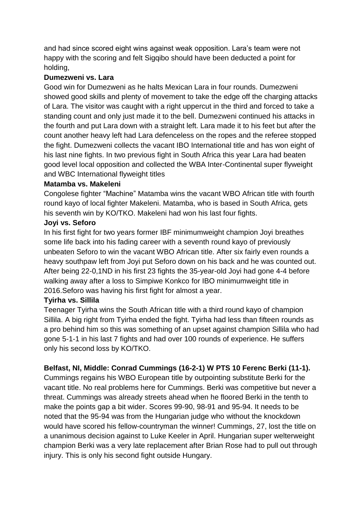and had since scored eight wins against weak opposition. Lara's team were not happy with the scoring and felt Sigqibo should have been deducted a point for holding,

#### **Dumezweni vs. Lara**

Good win for Dumezweni as he halts Mexican Lara in four rounds. Dumezweni showed good skills and plenty of movement to take the edge off the charging attacks of Lara. The visitor was caught with a right uppercut in the third and forced to take a standing count and only just made it to the bell. Dumezweni continued his attacks in the fourth and put Lara down with a straight left. Lara made it to his feet but after the count another heavy left had Lara defenceless on the ropes and the referee stopped the fight. Dumezweni collects the vacant IBO International title and has won eight of his last nine fights. In two previous fight in South Africa this year Lara had beaten good level local opposition and collected the WBA Inter-Continental super flyweight and WBC International flyweight titles

#### **Matamba vs. Makeleni**

Congolese fighter "Machine" Matamba wins the vacant WBO African title with fourth round kayo of local fighter Makeleni. Matamba, who is based in South Africa, gets his seventh win by KO/TKO. Makeleni had won his last four fights.

#### **Joyi vs. Seforo**

In his first fight for two years former IBF minimumweight champion Joyi breathes some life back into his fading career with a seventh round kayo of previously unbeaten Seforo to win the vacant WBO African title. After six fairly even rounds a heavy southpaw left from Joyi put Seforo down on his back and he was counted out. After being 22-0,1ND in his first 23 fights the 35-year-old Joyi had gone 4-4 before walking away after a loss to Simpiwe Konkco for IBO minimumweight title in 2016.Seforo was having his first fight for almost a year.

#### **Tyirha vs. Sillila**

Teenager Tyirha wins the South African title with a third round kayo of champion Sillila. A big right from Tyirha ended the fight. Tyirha had less than fifteen rounds as a pro behind him so this was something of an upset against champion Sillila who had gone 5-1-1 in his last 7 fights and had over 100 rounds of experience. He suffers only his second loss by KO/TKO.

### **Belfast, NI, Middle: Conrad Cummings (16-2-1) W PTS 10 Ferenc Berki (11-1).**

Cummings regains his WBO European title by outpointing substitute Berki for the vacant title. No real problems here for Cummings. Berki was competitive but never a threat. Cummings was already streets ahead when he floored Berki in the tenth to make the points gap a bit wider. Scores 99-90, 98-91 and 95-94. It needs to be noted that the 95-94 was from the Hungarian judge who without the knockdown would have scored his fellow-countryman the winner! Cummings, 27, lost the title on a unanimous decision against to Luke Keeler in April. Hungarian super welterweight champion Berki was a very late replacement after Brian Rose had to pull out through injury. This is only his second fight outside Hungary.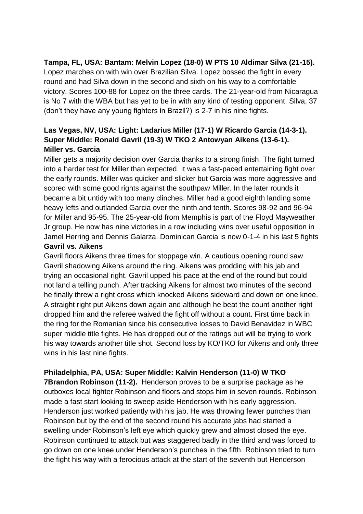#### **Tampa, FL, USA: Bantam: Melvin Lopez (18-0) W PTS 10 Aldimar Silva (21-15).**

Lopez marches on with win over Brazilian Silva. Lopez bossed the fight in every round and had Silva down in the second and sixth on his way to a comfortable victory. Scores 100-88 for Lopez on the three cards. The 21-year-old from Nicaragua is No 7 with the WBA but has yet to be in with any kind of testing opponent. Silva, 37 (don't they have any young fighters in Brazil?) is 2-7 in his nine fights.

# **Las Vegas, NV, USA: Light: Ladarius Miller (17-1) W Ricardo Garcia (14-3-1). Super Middle: Ronald Gavril (19-3) W TKO 2 Antowyan Aikens (13-6-1). Miller vs. Garcia**

Miller gets a majority decision over Garcia thanks to a strong finish. The fight turned into a harder test for Miller than expected. It was a fast-paced entertaining fight over the early rounds. Miller was quicker and slicker but Garcia was more aggressive and scored with some good rights against the southpaw Miller. In the later rounds it became a bit untidy with too many clinches. Miller had a good eighth landing some heavy lefts and outlanded Garcia over the ninth and tenth. Scores 98-92 and 96-94 for Miller and 95-95. The 25-year-old from Memphis is part of the Floyd Mayweather Jr group. He now has nine victories in a row including wins over useful opposition in Jamel Herring and Dennis Galarza. Dominican Garcia is now 0-1-4 in his last 5 fights

#### **Gavril vs. Aikens**

Gavril floors Aikens three times for stoppage win. A cautious opening round saw Gavril shadowing Aikens around the ring. Aikens was prodding with his jab and trying an occasional right. Gavril upped his pace at the end of the round but could not land a telling punch. After tracking Aikens for almost two minutes of the second he finally threw a right cross which knocked Aikens sideward and down on one knee. A straight right put Aikens down again and although he beat the count another right dropped him and the referee waived the fight off without a count. First time back in the ring for the Romanian since his consecutive losses to David Benavidez in WBC super middle title fights. He has dropped out of the ratings but will be trying to work his way towards another title shot. Second loss by KO/TKO for Aikens and only three wins in his last nine fights.

#### **Philadelphia, PA, USA: Super Middle: Kalvin Henderson (11-0) W TKO**

**7Brandon Robinson (11-2).** Henderson proves to be a surprise package as he outboxes local fighter Robinson and floors and stops him in seven rounds. Robinson made a fast start looking to sweep aside Henderson with his early aggression. Henderson just worked patiently with his jab. He was throwing fewer punches than Robinson but by the end of the second round his accurate jabs had started a swelling under Robinson's left eye which quickly grew and almost closed the eye. Robinson continued to attack but was staggered badly in the third and was forced to go down on one knee under Henderson's punches in the fifth. Robinson tried to turn the fight his way with a ferocious attack at the start of the seventh but Henderson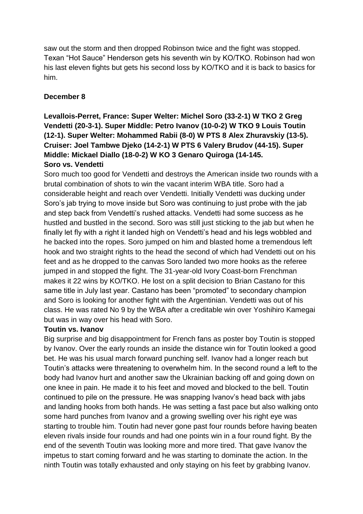saw out the storm and then dropped Robinson twice and the fight was stopped. Texan "Hot Sauce" Henderson gets his seventh win by KO/TKO. Robinson had won his last eleven fights but gets his second loss by KO/TKO and it is back to basics for him.

#### **December 8**

#### **Levallois-Perret, France: Super Welter: Michel Soro (33-2-1) W TKO 2 Greg Vendetti (20-3-1). Super Middle: Petro Ivanov (10-0-2) W TKO 9 Louis Toutin (12-1). Super Welter: Mohammed Rabii (8-0) W PTS 8 Alex Zhuravskiy (13-5). Cruiser: Joel Tambwe Djeko (14-2-1) W PTS 6 Valery Brudov (44-15). Super Middle: Mickael Diallo (18-0-2) W KO 3 Genaro Quiroga (14-145. Soro vs. Vendetti**

Soro much too good for Vendetti and destroys the American inside two rounds with a brutal combination of shots to win the vacant interim WBA title. Soro had a considerable height and reach over Vendetti. Initially Vendetti was ducking under Soro's jab trying to move inside but Soro was continuing to just probe with the jab and step back from Vendetti's rushed attacks. Vendetti had some success as he hustled and bustled in the second. Soro was still just sticking to the jab but when he finally let fly with a right it landed high on Vendetti's head and his legs wobbled and he backed into the ropes. Soro jumped on him and blasted home a tremendous left hook and two straight rights to the head the second of which had Vendetti out on his feet and as he dropped to the canvas Soro landed two more hooks as the referee jumped in and stopped the fight. The 31-year-old Ivory Coast-born Frenchman makes it 22 wins by KO/TKO. He lost on a split decision to Brian Castano for this same title in July last year. Castano has been "promoted" to secondary champion and Soro is looking for another fight with the Argentinian. Vendetti was out of his class. He was rated No 9 by the WBA after a creditable win over Yoshihiro Kamegai but was in way over his head with Soro.

#### **Toutin vs. Ivanov**

Big surprise and big disappointment for French fans as poster boy Toutin is stopped by Ivanov. Over the early rounds an inside the distance win for Toutin looked a good bet. He was his usual march forward punching self. Ivanov had a longer reach but Toutin's attacks were threatening to overwhelm him. In the second round a left to the body had Ivanov hurt and another saw the Ukrainian backing off and going down on one knee in pain. He made it to his feet and moved and blocked to the bell. Toutin continued to pile on the pressure. He was snapping Ivanov's head back with jabs and landing hooks from both hands. He was setting a fast pace but also walking onto some hard punches from Ivanov and a growing swelling over his right eye was starting to trouble him. Toutin had never gone past four rounds before having beaten eleven rivals inside four rounds and had one points win in a four round fight. By the end of the seventh Toutin was looking more and more tired. That gave Ivanov the impetus to start coming forward and he was starting to dominate the action. In the ninth Toutin was totally exhausted and only staying on his feet by grabbing Ivanov.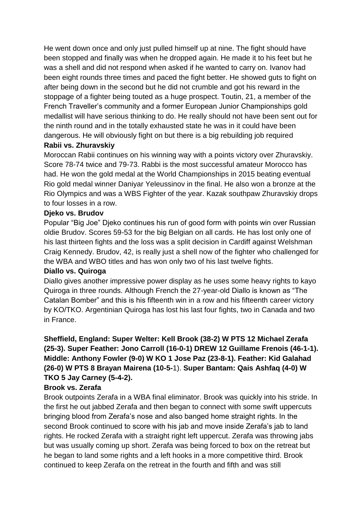He went down once and only just pulled himself up at nine. The fight should have been stopped and finally was when he dropped again. He made it to his feet but he was a shell and did not respond when asked if he wanted to carry on. Ivanov had been eight rounds three times and paced the fight better. He showed guts to fight on after being down in the second but he did not crumble and got his reward in the stoppage of a fighter being touted as a huge prospect. Toutin, 21, a member of the French Traveller's community and a former European Junior Championships gold medallist will have serious thinking to do. He really should not have been sent out for the ninth round and in the totally exhausted state he was in it could have been dangerous. He will obviously fight on but there is a big rebuilding job required

#### **Rabii vs. Zhuravskiy**

Moroccan Rabii continues on his winning way with a points victory over Zhuravskiy. Score 78-74 twice and 79-73. Rabbi is the most successful amateur Morocco has had. He won the gold medal at the World Championships in 2015 beating eventual Rio gold medal winner Daniyar Yeleussinov in the final. He also won a bronze at the Rio Olympics and was a WBS Fighter of the year. Kazak southpaw Zhuravskiy drops to four losses in a row.

#### **Djeko vs. Brudov**

Popular "Big Joe" Djeko continues his run of good form with points win over Russian oldie Brudov. Scores 59-53 for the big Belgian on all cards. He has lost only one of his last thirteen fights and the loss was a split decision in Cardiff against Welshman Craig Kennedy. Brudov, 42, is really just a shell now of the fighter who challenged for the WBA and WBO titles and has won only two of his last twelve fights.

#### **Diallo vs. Quiroga**

Diallo gives another impressive power display as he uses some heavy rights to kayo Quiroga in three rounds. Although French the 27-year-old Diallo is known as "The Catalan Bomber" and this is his fifteenth win in a row and his fifteenth career victory by KO/TKO. Argentinian Quiroga has lost his last four fights, two in Canada and two in France.

### **Sheffield, England: Super Welter: Kell Brook (38-2) W PTS 12 Michael Zerafa (25-3). Super Feather: Jono Carroll (16-0-1) DREW 12 Guillame Frenois (46-1-1). Middle: Anthony Fowler (9-0) W KO 1 Jose Paz (23-8-1). Feather: Kid Galahad (26-0) W PTS 8 Brayan Mairena (10-5-**1). **Super Bantam: Qais Ashfaq (4-0) W TKO 5 Jay Carney (5-4-2).**

#### **Brook vs. Zerafa**

Brook outpoints Zerafa in a WBA final eliminator. Brook was quickly into his stride. In the first he out jabbed Zerafa and then began to connect with some swift uppercuts bringing blood from Zerafa's nose and also banged home straight rights. In the second Brook continued to score with his jab and move inside Zerafa's jab to land rights. He rocked Zerafa with a straight right left uppercut. Zerafa was throwing jabs but was usually coming up short. Zerafa was being forced to box on the retreat but he began to land some rights and a left hooks in a more competitive third. Brook continued to keep Zerafa on the retreat in the fourth and fifth and was still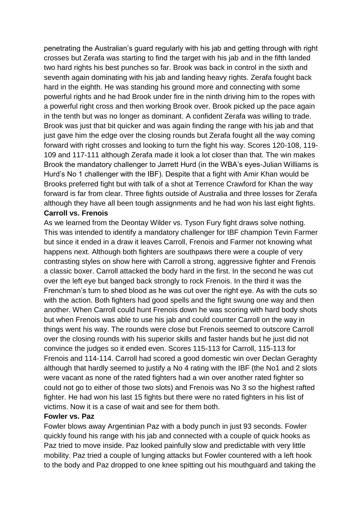penetrating the Australian's guard regularly with his jab and getting through with right crosses but Zerafa was starting to find the target with his jab and in the fifth landed two hard rights his best punches so far. Brook was back in control in the sixth and seventh again dominating with his jab and landing heavy rights. Zerafa fought back hard in the eighth. He was standing his ground more and connecting with some powerful rights and he had Brook under fire in the ninth driving him to the ropes with a powerful right cross and then working Brook over. Brook picked up the pace again in the tenth but was no longer as dominant. A confident Zerafa was willing to trade. Brook was just that bit quicker and was again finding the range with his jab and that just gave him the edge over the closing rounds but Zerafa fought all the way coming forward with right crosses and looking to turn the fight his way. Scores 120-108, 119- 109 and 117-111 although Zerafa made it look a lot closer than that. The win makes Brook the mandatory challenger to Jarrett Hurd (in the WBA's eyes-Julian Williams is Hurd's No 1 challenger with the IBF). Despite that a fight with Amir Khan would be Brooks preferred fight but with talk of a shot at Terrence Crawford for Khan the way forward is far from clear. Three fights outside of Australia and three losses for Zerafa although they have all been tough assignments and he had won his last eight fights. **Carroll vs. Frenois**

As we learned from the Deontay Wilder vs. Tyson Fury fight draws solve nothing. This was intended to identify a mandatory challenger for IBF champion Tevin Farmer but since it ended in a draw it leaves Carroll, Frenois and Farmer not knowing what happens next. Although both fighters are southpaws there were a couple of very contrasting styles on show here with Carroll a strong, aggressive fighter and Frenois a classic boxer. Carroll attacked the body hard in the first. In the second he was cut over the left eye but banged back strongly to rock Frenois. In the third it was the Frenchman's turn to shed blood as he was cut over the right eye. As with the cuts so with the action. Both fighters had good spells and the fight swung one way and then another. When Carroll could hunt Frenois down he was scoring with hard body shots but when Frenois was able to use his jab and could counter Carroll on the way in things went his way. The rounds were close but Frenois seemed to outscore Carroll over the closing rounds with his superior skills and faster hands but he just did not convince the judges so it ended even. Scores 115-113 for Carroll, 115-113 for Frenois and 114-114. Carroll had scored a good domestic win over Declan Geraghty although that hardly seemed to justify a No 4 rating with the IBF (the No1 and 2 slots were vacant as none of the rated fighters had a win over another rated fighter so could not go to either of those two slots) and Frenois was No 3 so the highest rafted fighter. He had won his last 15 fights but there were no rated fighters in his list of victims. Now it is a case of wait and see for them both.

#### **Fowler vs. Paz**

Fowler blows away Argentinian Paz with a body punch in just 93 seconds. Fowler quickly found his range with his jab and connected with a couple of quick hooks as Paz tried to move inside. Paz looked painfully slow and predictable with very little mobility. Paz tried a couple of lunging attacks but Fowler countered with a left hook to the body and Paz dropped to one knee spitting out his mouthguard and taking the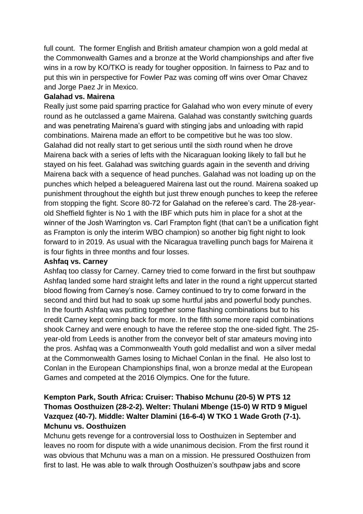full count. The former English and British amateur champion won a gold medal at the Commonwealth Games and a bronze at the World championships and after five wins in a row by KO/TKO is ready for tougher opposition. In fairness to Paz and to put this win in perspective for Fowler Paz was coming off wins over Omar Chavez and Jorge Paez Jr in Mexico.

#### **Galahad vs. Mairena**

Really just some paid sparring practice for Galahad who won every minute of every round as he outclassed a game Mairena. Galahad was constantly switching guards and was penetrating Mairena's guard with stinging jabs and unloading with rapid combinations. Mairena made an effort to be competitive but he was too slow. Galahad did not really start to get serious until the sixth round when he drove Mairena back with a series of lefts with the Nicaraguan looking likely to fall but he stayed on his feet. Galahad was switching guards again in the seventh and driving Mairena back with a sequence of head punches. Galahad was not loading up on the punches which helped a beleaguered Mairena last out the round. Mairena soaked up punishment throughout the eighth but just threw enough punches to keep the referee from stopping the fight. Score 80-72 for Galahad on the referee's card. The 28-yearold Sheffield fighter is No 1 with the IBF which puts him in place for a shot at the winner of the Josh Warrington vs. Carl Frampton fight (that can't be a unification fight as Frampton is only the interim WBO champion) so another big fight night to look forward to in 2019. As usual with the Nicaragua travelling punch bags for Mairena it is four fights in three months and four losses.

#### **Ashfaq vs. Carney**

Ashfaq too classy for Carney. Carney tried to come forward in the first but southpaw Ashfaq landed some hard straight lefts and later in the round a right uppercut started blood flowing from Carney's nose. Carney continued to try to come forward in the second and third but had to soak up some hurtful jabs and powerful body punches. In the fourth Ashfaq was putting together some flashing combinations but to his credit Carney kept coming back for more. In the fifth some more rapid combinations shook Carney and were enough to have the referee stop the one-sided fight. The 25 year-old from Leeds is another from the conveyor belt of star amateurs moving into the pros. Ashfaq was a Commonwealth Youth gold medallist and won a silver medal at the Commonwealth Games losing to Michael Conlan in the final. He also lost to Conlan in the European Championships final, won a bronze medal at the European Games and competed at the 2016 Olympics. One for the future.

### **Kempton Park, South Africa: Cruiser: Thabiso Mchunu (20-5) W PTS 12 Thomas Oosthuizen (28-2-2). Welter: Thulani Mbenge (15-0) W RTD 9 Miguel Vazquez (40-7). Middle: Walter Dlamini (16-6-4) W TKO 1 Wade Groth (7-1). Mchunu vs. Oosthuizen**

Mchunu gets revenge for a controversial loss to Oosthuizen in September and leaves no room for dispute with a wide unanimous decision. From the first round it was obvious that Mchunu was a man on a mission. He pressured Oosthuizen from first to last. He was able to walk through Oosthuizen's southpaw jabs and score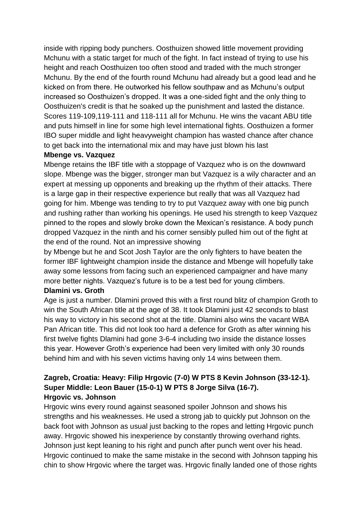inside with ripping body punchers. Oosthuizen showed little movement providing Mchunu with a static target for much of the fight. In fact instead of trying to use his height and reach Oosthuizen too often stood and traded with the much stronger Mchunu. By the end of the fourth round Mchunu had already but a good lead and he kicked on from there. He outworked his fellow southpaw and as Mchunu's output increased so Oosthuizen's dropped. It was a one-sided fight and the only thing to Oosthuizen's credit is that he soaked up the punishment and lasted the distance. Scores 119-109,119-111 and 118-111 all for Mchunu. He wins the vacant ABU title and puts himself in line for some high level international fights. Oosthuizen a former IBO super middle and light heavyweight champion has wasted chance after chance to get back into the international mix and may have just blown his last

#### **Mbenge vs. Vazquez**

Mbenge retains the IBF title with a stoppage of Vazquez who is on the downward slope. Mbenge was the bigger, stronger man but Vazquez is a wily character and an expert at messing up opponents and breaking up the rhythm of their attacks. There is a large gap in their respective experience but really that was all Vazquez had going for him. Mbenge was tending to try to put Vazquez away with one big punch and rushing rather than working his openings. He used his strength to keep Vazquez pinned to the ropes and slowly broke down the Mexican's resistance. A body punch dropped Vazquez in the ninth and his corner sensibly pulled him out of the fight at the end of the round. Not an impressive showing

by Mbenge but he and Scot Josh Taylor are the only fighters to have beaten the former IBF lightweight champion inside the distance and Mbenge will hopefully take away some lessons from facing such an experienced campaigner and have many more better nights. Vazquez's future is to be a test bed for young climbers.

#### **Dlamini vs. Groth**

Age is just a number. Dlamini proved this with a first round blitz of champion Groth to win the South African title at the age of 38. It took Dlamini just 42 seconds to blast his way to victory in his second shot at the title. Dlamini also wins the vacant WBA Pan African title. This did not look too hard a defence for Groth as after winning his first twelve fights Dlamini had gone 3-6-4 including two inside the distance losses this year. However Groth's experience had been very limited with only 30 rounds behind him and with his seven victims having only 14 wins between them.

#### **Zagreb, Croatia: Heavy: Filip Hrgovic (7-0) W PTS 8 Kevin Johnson (33-12-1). Super Middle: Leon Bauer (15-0-1) W PTS 8 Jorge Silva (16-7). Hrgovic vs. Johnson**

Hrgovic wins every round against seasoned spoiler Johnson and shows his strengths and his weaknesses. He used a strong jab to quickly put Johnson on the back foot with Johnson as usual just backing to the ropes and letting Hrgovic punch away. Hrgovic showed his inexperience by constantly throwing overhand rights. Johnson just kept leaning to his right and punch after punch went over his head. Hrgovic continued to make the same mistake in the second with Johnson tapping his chin to show Hrgovic where the target was. Hrgovic finally landed one of those rights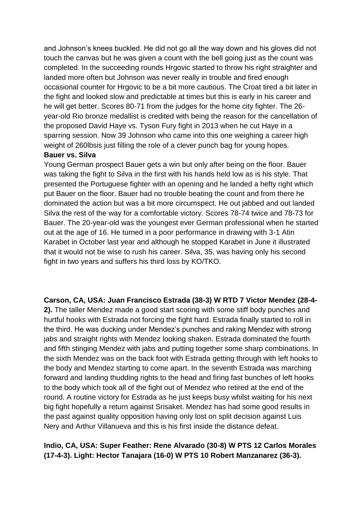and Johnson's knees buckled. He did not go all the way down and his gloves did not touch the canvas but he was given a count with the bell going just as the count was completed. In the succeeding rounds Hrgovic started to throw his right straighter and landed more often but Johnson was never really in trouble and fired enough occasional counter for Hrgovic to be a bit more cautious. The Croat tired a bit later in the fight and looked slow and predictable at times but this is early in his career and he will get better. Scores 80-71 from the judges for the home city fighter. The 26 year-old Rio bronze medallist is credited with being the reason for the cancellation of the proposed David Haye vs. Tyson Fury fight in 2013 when he cut Haye in a sparring session. Now 39 Johnson who came into this one weighing a career high weight of 260lbsis just filling the role of a clever punch bag for young hopes.

#### **Bauer vs. Silva**

Young German prospect Bauer gets a win but only after being on the floor. Bauer was taking the fight to Silva in the first with his hands held low as is his style. That presented the Portuguese fighter with an opening and he landed a hefty right which put Bauer on the floor. Bauer had no trouble beating the count and from there he dominated the action but was a bit more circumspect. He out jabbed and out landed Silva the rest of the way for a comfortable victory. Scores 78-74 twice and 78-73 for Bauer. The 20-year-old was the youngest ever German professional when he started out at the age of 16. He turned in a poor performance in drawing with 3-1 Atin Karabet in October last year and although he stopped Karabet in June it illustrated that it would not be wise to rush his career. Silva, 35, was having only his second fight in two years and suffers his third loss by KO/TKO.

#### **Carson, CA, USA: Juan Francisco Estrada (38-3) W RTD 7 Victor Mendez (28-4-**

**2).** The taller Mendez made a good start scoring with some stiff body punches and hurtful hooks with Estrada not forcing the fight hard. Estrada finally started to roll in the third. He was ducking under Mendez's punches and raking Mendez with strong jabs and straight rights with Mendez looking shaken. Estrada dominated the fourth and fifth stinging Mendez with jabs and putting together some sharp combinations. In the sixth Mendez was on the back foot with Estrada getting through with left hooks to the body and Mendez starting to come apart. In the seventh Estrada was marching forward and landing thudding rights to the head and firing fast bunches of left hooks to the body which took all of the fight out of Mendez who retired at the end of the round. A routine victory for Estrada as he just keeps busy whilst waiting for his next big fight hopefully a return against Srisaket. Mendez has had some good results in the past against quality opposition having only lost on split decision against Luis Nery and Arthur Villanueva and this is his first inside the distance defeat.

#### **Indio, CA, USA: Super Feather: Rene Alvarado (30-8) W PTS 12 Carlos Morales (17-4-3). Light: Hector Tanajara (16-0) W PTS 10 Robert Manzanarez (36-3).**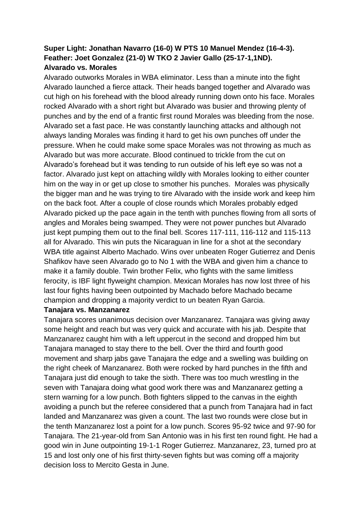### **Super Light: Jonathan Navarro (16-0) W PTS 10 Manuel Mendez (16-4-3). Feather: Joet Gonzalez (21-0) W TKO 2 Javier Gallo (25-17-1,1ND). Alvarado vs. Morales**

Alvarado outworks Morales in WBA eliminator. Less than a minute into the fight Alvarado launched a fierce attack. Their heads banged together and Alvarado was cut high on his forehead with the blood already running down onto his face. Morales rocked Alvarado with a short right but Alvarado was busier and throwing plenty of punches and by the end of a frantic first round Morales was bleeding from the nose. Alvarado set a fast pace. He was constantly launching attacks and although not always landing Morales was finding it hard to get his own punches off under the pressure. When he could make some space Morales was not throwing as much as Alvarado but was more accurate. Blood continued to trickle from the cut on Alvarado's forehead but it was tending to run outside of his left eye so was not a factor. Alvarado just kept on attaching wildly with Morales looking to either counter him on the way in or get up close to smother his punches. Morales was physically the bigger man and he was trying to tire Alvarado with the inside work and keep him on the back foot. After a couple of close rounds which Morales probably edged Alvarado picked up the pace again in the tenth with punches flowing from all sorts of angles and Morales being swamped. They were not power punches but Alvarado just kept pumping them out to the final bell. Scores 117-111, 116-112 and 115-113 all for Alvarado. This win puts the Nicaraguan in line for a shot at the secondary WBA title against Alberto Machado. Wins over unbeaten Roger Gutierrez and Denis Shafikov have seen Alvarado go to No 1 with the WBA and given him a chance to make it a family double. Twin brother Felix, who fights with the same limitless ferocity, is IBF light flyweight champion. Mexican Morales has now lost three of his last four fights having been outpointed by Machado before Machado became champion and dropping a majority verdict to un beaten Ryan Garcia.

#### **Tanajara vs. Manzanarez**

Tanajara scores unanimous decision over Manzanarez. Tanajara was giving away some height and reach but was very quick and accurate with his jab. Despite that Manzanarez caught him with a left uppercut in the second and dropped him but Tanajara managed to stay there to the bell. Over the third and fourth good movement and sharp jabs gave Tanajara the edge and a swelling was building on the right cheek of Manzanarez. Both were rocked by hard punches in the fifth and Tanajara just did enough to take the sixth. There was too much wrestling in the seven with Tanajara doing what good work there was and Manzanarez getting a stern warning for a low punch. Both fighters slipped to the canvas in the eighth avoiding a punch but the referee considered that a punch from Tanajara had in fact landed and Manzanarez was given a count. The last two rounds were close but in the tenth Manzanarez lost a point for a low punch. Scores 95-92 twice and 97-90 for Tanajara. The 21-year-old from San Antonio was in his first ten round fight. He had a good win in June outpointing 19-1-1 Roger Gutierrez. Manzanarez, 23, turned pro at 15 and lost only one of his first thirty-seven fights but was coming off a majority decision loss to Mercito Gesta in June.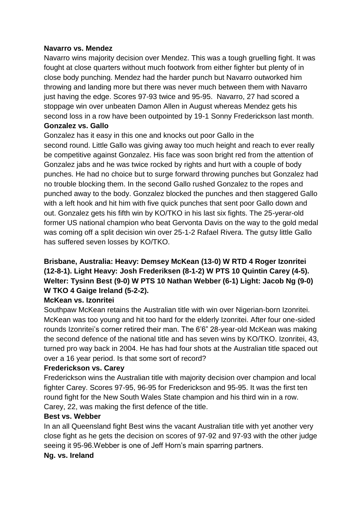#### **Navarro vs. Mendez**

Navarro wins majority decision over Mendez. This was a tough gruelling fight. It was fought at close quarters without much footwork from either fighter but plenty of in close body punching. Mendez had the harder punch but Navarro outworked him throwing and landing more but there was never much between them with Navarro just having the edge. Scores 97-93 twice and 95-95. Navarro, 27 had scored a stoppage win over unbeaten Damon Allen in August whereas Mendez gets his second loss in a row have been outpointed by 19-1 Sonny Frederickson last month. **Gonzalez vs. Gallo**

Gonzalez has it easy in this one and knocks out poor Gallo in the second round. Little Gallo was giving away too much height and reach to ever really be competitive against Gonzalez. His face was soon bright red from the attention of Gonzalez jabs and he was twice rocked by rights and hurt with a couple of body punches. He had no choice but to surge forward throwing punches but Gonzalez had no trouble blocking them. In the second Gallo rushed Gonzalez to the ropes and punched away to the body. Gonzalez blocked the punches and then staggered Gallo with a left hook and hit him with five quick punches that sent poor Gallo down and out. Gonzalez gets his fifth win by KO/TKO in his last six fights. The 25-yerar-old former US national champion who beat Gervonta Davis on the way to the gold medal was coming off a split decision win over 25-1-2 Rafael Rivera. The gutsy little Gallo has suffered seven losses by KO/TKO.

# **Brisbane, Australia: Heavy: Demsey McKean (13-0) W RTD 4 Roger Izonritei (12-8-1). Light Heavy: Josh Frederiksen (8-1-2) W PTS 10 Quintin Carey (4-5). Welter: Tysinn Best (9-0) W PTS 10 Nathan Webber (6-1) Light: Jacob Ng (9-0) W TKO 4 Gaige Ireland (5-2-2).**

#### **McKean vs. Izonritei**

Southpaw McKean retains the Australian title with win over Nigerian-born Izonritei. McKean was too young and hit too hard for the elderly Izonritei. After four one-sided rounds Izonritei's corner retired their man. The 6'6" 28-year-old McKean was making the second defence of the national title and has seven wins by KO/TKO. Izonritei, 43, turned pro way back in 2004. He has had four shots at the Australian title spaced out over a 16 year period. Is that some sort of record?

#### **Frederickson vs. Carey**

Frederickson wins the Australian title with majority decision over champion and local fighter Carey. Scores 97-95, 96-95 for Frederickson and 95-95. It was the first ten round fight for the New South Wales State champion and his third win in a row. Carey, 22, was making the first defence of the title.

#### **Best vs. Webber**

In an all Queensland fight Best wins the vacant Australian title with yet another very close fight as he gets the decision on scores of 97-92 and 97-93 with the other judge seeing it 95-96.Webber is one of Jeff Horn's main sparring partners.

#### **Ng. vs. Ireland**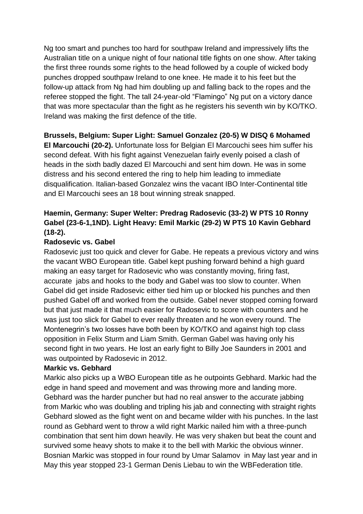Ng too smart and punches too hard for southpaw Ireland and impressively lifts the Australian title on a unique night of four national title fights on one show. After taking the first three rounds some rights to the head followed by a couple of wicked body punches dropped southpaw Ireland to one knee. He made it to his feet but the follow-up attack from Ng had him doubling up and falling back to the ropes and the referee stopped the fight. The tall 24-year-old "Flamingo" Ng put on a victory dance that was more spectacular than the fight as he registers his seventh win by KO/TKO. Ireland was making the first defence of the title.

#### **Brussels, Belgium: Super Light: Samuel Gonzalez (20-5) W DISQ 6 Mohamed**

**El Marcouchi (20-2).** Unfortunate loss for Belgian El Marcouchi sees him suffer his second defeat. With his fight against Venezuelan fairly evenly poised a clash of heads in the sixth badly dazed El Marcouchi and sent him down. He was in some distress and his second entered the ring to help him leading to immediate disqualification. Italian-based Gonzalez wins the vacant IBO Inter-Continental title and El Marcouchi sees an 18 bout winning streak snapped.

### **Haemin, Germany: Super Welter: Predrag Radosevic (33-2) W PTS 10 Ronny Gabel (23-6-1,1ND). Light Heavy: Emil Markic (29-2) W PTS 10 Kavin Gebhard (18-2).**

#### **Radosevic vs. Gabel**

Radosevic just too quick and clever for Gabe. He repeats a previous victory and wins the vacant WBO European title. Gabel kept pushing forward behind a high guard making an easy target for Radosevic who was constantly moving, firing fast, accurate jabs and hooks to the body and Gabel was too slow to counter. When Gabel did get inside Radosevic either tied him up or blocked his punches and then pushed Gabel off and worked from the outside. Gabel never stopped coming forward but that just made it that much easier for Radosevic to score with counters and he was just too slick for Gabel to ever really threaten and he won every round. The Montenegrin's two losses have both been by KO/TKO and against high top class opposition in Felix Sturm and Liam Smith. German Gabel was having only his second fight in two years. He lost an early fight to Billy Joe Saunders in 2001 and was outpointed by Radosevic in 2012.

#### **Markic vs. Gebhard**

Markic also picks up a WBO European title as he outpoints Gebhard. Markic had the edge in hand speed and movement and was throwing more and landing more. Gebhard was the harder puncher but had no real answer to the accurate jabbing from Markic who was doubling and tripling his jab and connecting with straight rights Gebhard slowed as the fight went on and became wilder with his punches. In the last round as Gebhard went to throw a wild right Markic nailed him with a three-punch combination that sent him down heavily. He was very shaken but beat the count and survived some heavy shots to make it to the bell with Markic the obvious winner. Bosnian Markic was stopped in four round by Umar Salamov in May last year and in May this year stopped 23-1 German Denis Liebau to win the WBFederation title.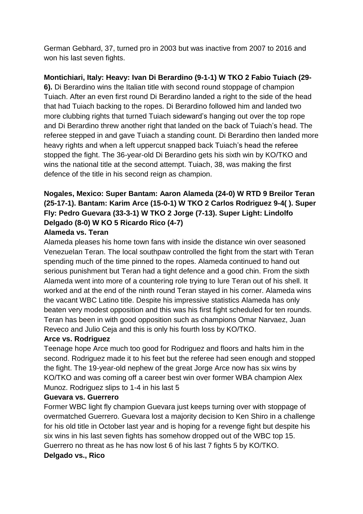German Gebhard, 37, turned pro in 2003 but was inactive from 2007 to 2016 and won his last seven fights.

### **Montichiari, Italy: Heavy: Ivan Di Berardino (9-1-1) W TKO 2 Fabio Tuiach (29-**

**6).** Di Berardino wins the Italian title with second round stoppage of champion Tuiach. After an even first round Di Berardino landed a right to the side of the head that had Tuiach backing to the ropes. Di Berardino followed him and landed two more clubbing rights that turned Tuiach sideward's hanging out over the top rope and Di Berardino threw another right that landed on the back of Tuiach's head. The referee stepped in and gave Tuiach a standing count. Di Berardino then landed more heavy rights and when a left uppercut snapped back Tuiach's head the referee stopped the fight. The 36-year-old Di Berardino gets his sixth win by KO/TKO and wins the national title at the second attempt. Tuiach, 38, was making the first defence of the title in his second reign as champion.

# **Nogales, Mexico: Super Bantam: Aaron Alameda (24-0) W RTD 9 Breilor Teran (25-17-1). Bantam: Karim Arce (15-0-1) W TKO 2 Carlos Rodriguez 9-4( ). Super Fly: Pedro Guevara (33-3-1) W TKO 2 Jorge (7-13). Super Light: Lindolfo Delgado (8-0) W KO 5 Ricardo Rico (4-7)**

#### **Alameda vs. Teran**

Alameda pleases his home town fans with inside the distance win over seasoned Venezuelan Teran. The local southpaw controlled the fight from the start with Teran spending much of the time pinned to the ropes. Alameda continued to hand out serious punishment but Teran had a tight defence and a good chin. From the sixth Alameda went into more of a countering role trying to lure Teran out of his shell. It worked and at the end of the ninth round Teran stayed in his corner. Alameda wins the vacant WBC Latino title. Despite his impressive statistics Alameda has only beaten very modest opposition and this was his first fight scheduled for ten rounds. Teran has been in with good opposition such as champions Omar Narvaez, Juan Reveco and Julio Ceja and this is only his fourth loss by KO/TKO.

#### **Arce vs. Rodriguez**

Teenage hope Arce much too good for Rodriguez and floors and halts him in the second. Rodriguez made it to his feet but the referee had seen enough and stopped the fight. The 19-year-old nephew of the great Jorge Arce now has six wins by KO/TKO and was coming off a career best win over former WBA champion Alex Munoz. Rodriguez slips to 1-4 in his last 5

#### **Guevara vs. Guerrero**

Former WBC light fly champion Guevara just keeps turning over with stoppage of overmatched Guerrero. Guevara lost a majority decision to Ken Shiro in a challenge for his old title in October last year and is hoping for a revenge fight but despite his six wins in his last seven fights has somehow dropped out of the WBC top 15. Guerrero no threat as he has now lost 6 of his last 7 fights 5 by KO/TKO. **Delgado vs., Rico**